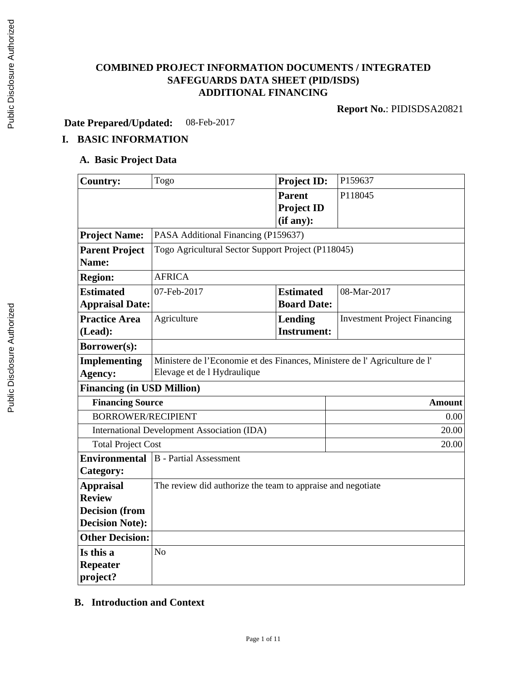## **COMBINED PROJECT INFORMATION DOCUMENTS / INTEGRATED SAFEGUARDS DATA SHEET (PID/ISDS) ADDITIONAL FINANCING**

**Report No.**: PIDISDSA20821

**Date Prepared/Updated:** 08-Feb-2017

## **I. BASIC INFORMATION**

#### **A. Basic Project Data**

| <b>Country:</b>                   | Togo                                                                      | <b>Project ID:</b> | P159637                             |  |  |
|-----------------------------------|---------------------------------------------------------------------------|--------------------|-------------------------------------|--|--|
|                                   |                                                                           | <b>Parent</b>      | P118045                             |  |  |
|                                   |                                                                           | <b>Project ID</b>  |                                     |  |  |
|                                   |                                                                           | (if any):          |                                     |  |  |
| <b>Project Name:</b>              | PASA Additional Financing (P159637)                                       |                    |                                     |  |  |
| <b>Parent Project</b>             | Togo Agricultural Sector Support Project (P118045)                        |                    |                                     |  |  |
| Name:                             |                                                                           |                    |                                     |  |  |
| <b>Region:</b>                    | <b>AFRICA</b>                                                             |                    |                                     |  |  |
| <b>Estimated</b>                  | 07-Feb-2017                                                               | <b>Estimated</b>   | 08-Mar-2017                         |  |  |
| <b>Appraisal Date:</b>            |                                                                           | <b>Board Date:</b> |                                     |  |  |
| <b>Practice Area</b>              | Agriculture                                                               | Lending            | <b>Investment Project Financing</b> |  |  |
| (Lead):                           |                                                                           | <b>Instrument:</b> |                                     |  |  |
| Borrower(s):                      |                                                                           |                    |                                     |  |  |
| <b>Implementing</b>               | Ministere de l'Economie et des Finances, Ministere de l'Agriculture de l' |                    |                                     |  |  |
| Agency:                           | Elevage et de l Hydraulique                                               |                    |                                     |  |  |
| <b>Financing (in USD Million)</b> |                                                                           |                    |                                     |  |  |
| <b>Financing Source</b>           |                                                                           |                    | <b>Amount</b>                       |  |  |
|                                   | <b>BORROWER/RECIPIENT</b><br>0.00                                         |                    |                                     |  |  |
|                                   | <b>International Development Association (IDA)</b>                        |                    |                                     |  |  |
|                                   | <b>Total Project Cost</b><br>20.00                                        |                    |                                     |  |  |
| <b>Environmental</b>              | <b>B</b> - Partial Assessment                                             |                    |                                     |  |  |
| Category:                         |                                                                           |                    |                                     |  |  |
| <b>Appraisal</b>                  | The review did authorize the team to appraise and negotiate               |                    |                                     |  |  |
| <b>Review</b>                     |                                                                           |                    |                                     |  |  |
| <b>Decision (from</b>             |                                                                           |                    |                                     |  |  |
| <b>Decision Note:</b>             |                                                                           |                    |                                     |  |  |
| <b>Other Decision:</b>            |                                                                           |                    |                                     |  |  |
| Is this a                         | N <sub>o</sub>                                                            |                    |                                     |  |  |
| <b>Repeater</b>                   |                                                                           |                    |                                     |  |  |
| project?                          |                                                                           |                    |                                     |  |  |

## **B. Introduction and Context**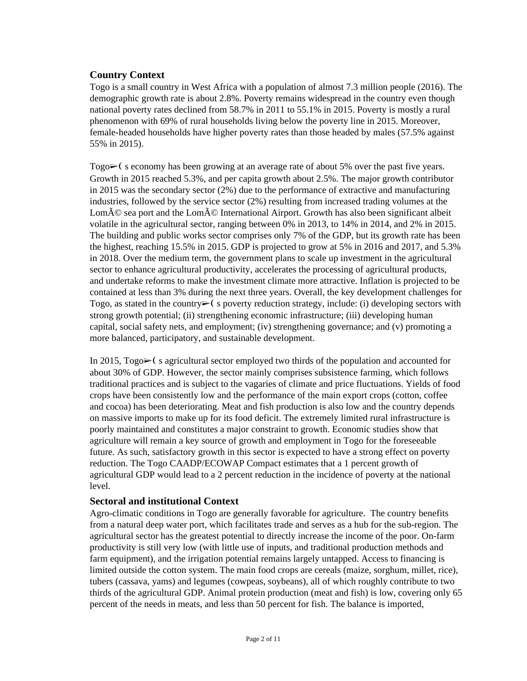#### **Country Context**

Togo is a small country in West Africa with a population of almost 7.3 million people (2016). The demographic growth rate is about 2.8%. Poverty remains widespread in the country even though national poverty rates declined from 58.7% in 2011 to 55.1% in 2015. Poverty is mostly a rural phenomenon with 69% of rural households living below the poverty line in 2015. Moreover, female-headed households have higher poverty rates than those headed by males (57.5% against 55% in 2015).

Togo $\geq$  (seconomy has been growing at an average rate of about 5% over the past five years. Growth in 2015 reached 5.3%, and per capita growth about 2.5%. The major growth contributor in 2015 was the secondary sector (2%) due to the performance of extractive and manufacturing industries, followed by the service sector (2%) resulting from increased trading volumes at the Lom $\tilde{A}$ © sea port and the Lom $\tilde{A}$ © International Airport. Growth has also been significant albeit volatile in the agricultural sector, ranging between 0% in 2013, to 14% in 2014, and 2% in 2015. The building and public works sector comprises only 7% of the GDP, but its growth rate has been the highest, reaching 15.5% in 2015. GDP is projected to grow at 5% in 2016 and 2017, and 5.3% in 2018. Over the medium term, the government plans to scale up investment in the agricultural sector to enhance agricultural productivity, accelerates the processing of agricultural products, and undertake reforms to make the investment climate more attractive. Inflation is projected to be contained at less than 3% during the next three years. Overall, the key development challenges for Togo, as stated in the country $\triangleright$  (s poverty reduction strategy, include: (i) developing sectors with strong growth potential; (ii) strengthening economic infrastructure; (iii) developing human capital, social safety nets, and employment; (iv) strengthening governance; and (v) promoting a more balanced, participatory, and sustainable development.

In 2015,  $\text{Topo}\rightarrow$  (sagricultural sector employed two thirds of the population and accounted for about 30% of GDP. However, the sector mainly comprises subsistence farming, which follows traditional practices and is subject to the vagaries of climate and price fluctuations. Yields of food crops have been consistently low and the performance of the main export crops (cotton, coffee and cocoa) has been deteriorating. Meat and fish production is also low and the country depends on massive imports to make up for its food deficit. The extremely limited rural infrastructure is poorly maintained and constitutes a major constraint to growth. Economic studies show that agriculture will remain a key source of growth and employment in Togo for the foreseeable future. As such, satisfactory growth in this sector is expected to have a strong effect on poverty reduction. The Togo CAADP/ECOWAP Compact estimates that a 1 percent growth of agricultural GDP would lead to a 2 percent reduction in the incidence of poverty at the national level.

#### **Sectoral and institutional Context**

Agro-climatic conditions in Togo are generally favorable for agriculture. The country benefits from a natural deep water port, which facilitates trade and serves as a hub for the sub-region. The agricultural sector has the greatest potential to directly increase the income of the poor. On-farm productivity is still very low (with little use of inputs, and traditional production methods and farm equipment), and the irrigation potential remains largely untapped. Access to financing is limited outside the cotton system. The main food crops are cereals (maize, sorghum, millet, rice), tubers (cassava, yams) and legumes (cowpeas, soybeans), all of which roughly contribute to two thirds of the agricultural GDP. Animal protein production (meat and fish) is low, covering only 65 percent of the needs in meats, and less than 50 percent for fish. The balance is imported,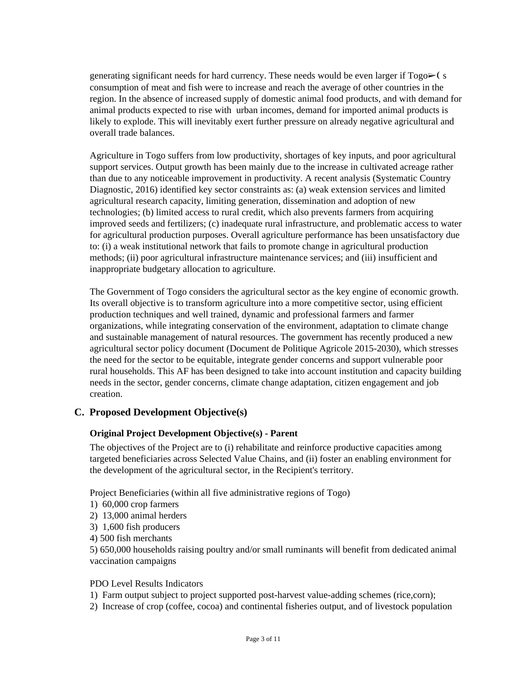generating significant needs for hard currency. These needs would be even larger if  $Togo \rightarrow (s$ consumption of meat and fish were to increase and reach the average of other countries in the region. In the absence of increased supply of domestic animal food products, and with demand for animal products expected to rise with urban incomes, demand for imported animal products is likely to explode. This will inevitably exert further pressure on already negative agricultural and overall trade balances.

Agriculture in Togo suffers from low productivity, shortages of key inputs, and poor agricultural support services. Output growth has been mainly due to the increase in cultivated acreage rather than due to any noticeable improvement in productivity. A recent analysis (Systematic Country Diagnostic, 2016) identified key sector constraints as: (a) weak extension services and limited agricultural research capacity, limiting generation, dissemination and adoption of new technologies; (b) limited access to rural credit, which also prevents farmers from acquiring improved seeds and fertilizers; (c) inadequate rural infrastructure, and problematic access to water for agricultural production purposes. Overall agriculture performance has been unsatisfactory due to: (i) a weak institutional network that fails to promote change in agricultural production methods; (ii) poor agricultural infrastructure maintenance services; and (iii) insufficient and inappropriate budgetary allocation to agriculture.

The Government of Togo considers the agricultural sector as the key engine of economic growth. Its overall objective is to transform agriculture into a more competitive sector, using efficient production techniques and well trained, dynamic and professional farmers and farmer organizations, while integrating conservation of the environment, adaptation to climate change and sustainable management of natural resources. The government has recently produced a new agricultural sector policy document (Document de Politique Agricole 2015-2030), which stresses the need for the sector to be equitable, integrate gender concerns and support vulnerable poor rural households. This AF has been designed to take into account institution and capacity building needs in the sector, gender concerns, climate change adaptation, citizen engagement and job creation.

#### **C. Proposed Development Objective(s)**

#### **Original Project Development Objective(s) - Parent**

The objectives of the Project are to (i) rehabilitate and reinforce productive capacities among targeted beneficiaries across Selected Value Chains, and (ii) foster an enabling environment for the development of the agricultural sector, in the Recipient's territory.

Project Beneficiaries (within all five administrative regions of Togo)

- 1) 60,000 crop farmers
- 2) 13,000 animal herders
- 3) 1,600 fish producers
- 4) 500 fish merchants

5) 650,000 households raising poultry and/or small ruminants will benefit from dedicated animal vaccination campaigns

#### PDO Level Results Indicators

- 1) Farm output subject to project supported post-harvest value-adding schemes (rice,corn);
- 2) Increase of crop (coffee, cocoa) and continental fisheries output, and of livestock population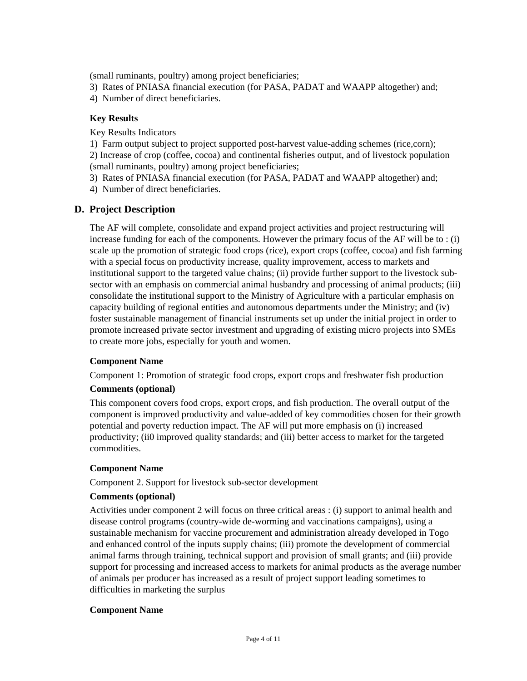(small ruminants, poultry) among project beneficiaries;

- 3) Rates of PNIASA financial execution (for PASA, PADAT and WAAPP altogether) and;
- 4) Number of direct beneficiaries.

#### **Key Results**

Key Results Indicators

1) Farm output subject to project supported post-harvest value-adding schemes (rice,corn);

2) Increase of crop (coffee, cocoa) and continental fisheries output, and of livestock population (small ruminants, poultry) among project beneficiaries;

- 3) Rates of PNIASA financial execution (for PASA, PADAT and WAAPP altogether) and;
- 4) Number of direct beneficiaries.

#### **D. Project Description**

The AF will complete, consolidate and expand project activities and project restructuring will increase funding for each of the components. However the primary focus of the AF will be to : (i) scale up the promotion of strategic food crops (rice), export crops (coffee, cocoa) and fish farming with a special focus on productivity increase, quality improvement, access to markets and institutional support to the targeted value chains; (ii) provide further support to the livestock subsector with an emphasis on commercial animal husbandry and processing of animal products; (iii) consolidate the institutional support to the Ministry of Agriculture with a particular emphasis on capacity building of regional entities and autonomous departments under the Ministry; and (iv) foster sustainable management of financial instruments set up under the initial project in order to promote increased private sector investment and upgrading of existing micro projects into SMEs to create more jobs, especially for youth and women.

#### **Component Name**

Component 1: Promotion of strategic food crops, export crops and freshwater fish production

#### **Comments (optional)**

This component covers food crops, export crops, and fish production. The overall output of the component is improved productivity and value-added of key commodities chosen for their growth potential and poverty reduction impact. The AF will put more emphasis on (i) increased productivity; (ii0 improved quality standards; and (iii) better access to market for the targeted commodities.

#### **Component Name**

Component 2. Support for livestock sub-sector development

#### **Comments (optional)**

Activities under component 2 will focus on three critical areas : (i) support to animal health and disease control programs (country-wide de-worming and vaccinations campaigns), using a sustainable mechanism for vaccine procurement and administration already developed in Togo and enhanced control of the inputs supply chains; (iii) promote the development of commercial animal farms through training, technical support and provision of small grants; and (iii) provide support for processing and increased access to markets for animal products as the average number of animals per producer has increased as a result of project support leading sometimes to difficulties in marketing the surplus

#### **Component Name**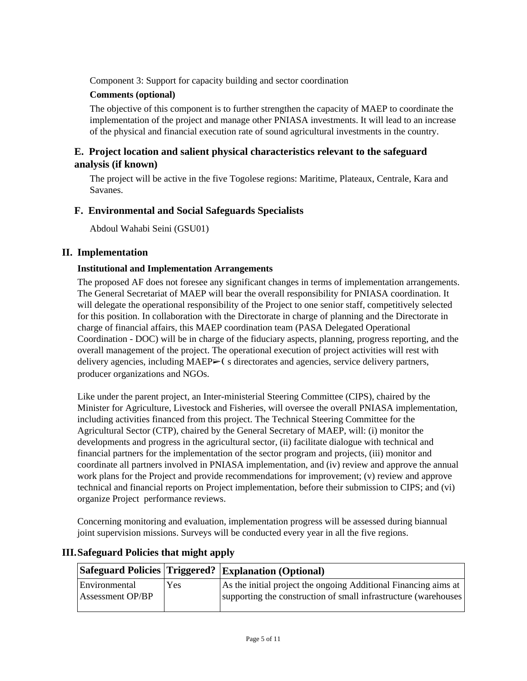Component 3: Support for capacity building and sector coordination

## **Comments (optional)**

The objective of this component is to further strengthen the capacity of MAEP to coordinate the implementation of the project and manage other PNIASA investments. It will lead to an increase of the physical and financial execution rate of sound agricultural investments in the country.

## **E. Project location and salient physical characteristics relevant to the safeguard analysis (if known)**

The project will be active in the five Togolese regions: Maritime, Plateaux, Centrale, Kara and Savanes.

## **F. Environmental and Social Safeguards Specialists**

Abdoul Wahabi Seini (GSU01)

## **II. Implementation**

## **Institutional and Implementation Arrangements**

The proposed AF does not foresee any significant changes in terms of implementation arrangements. The General Secretariat of MAEP will bear the overall responsibility for PNIASA coordination. It will delegate the operational responsibility of the Project to one senior staff, competitively selected for this position. In collaboration with the Directorate in charge of planning and the Directorate in charge of financial affairs, this MAEP coordination team (PASA Delegated Operational Coordination - DOC) will be in charge of the fiduciary aspects, planning, progress reporting, and the overall management of the project. The operational execution of project activities will rest with delivery agencies, including MAEP  $\triangleright$  (s directorates and agencies, service delivery partners, producer organizations and NGOs.

Like under the parent project, an Inter-ministerial Steering Committee (CIPS), chaired by the Minister for Agriculture, Livestock and Fisheries, will oversee the overall PNIASA implementation, including activities financed from this project. The Technical Steering Committee for the Agricultural Sector (CTP), chaired by the General Secretary of MAEP, will: (i) monitor the developments and progress in the agricultural sector, (ii) facilitate dialogue with technical and financial partners for the implementation of the sector program and projects, (iii) monitor and coordinate all partners involved in PNIASA implementation, and (iv) review and approve the annual work plans for the Project and provide recommendations for improvement; (v) review and approve technical and financial reports on Project implementation, before their submission to CIPS; and (vi) organize Project performance reviews.

Concerning monitoring and evaluation, implementation progress will be assessed during biannual joint supervision missions. Surveys will be conducted every year in all the five regions.

|                                          |     | <b>Safeguard Policies Triggered? Explanation (Optional)</b>                                                                         |
|------------------------------------------|-----|-------------------------------------------------------------------------------------------------------------------------------------|
| Environmental<br><b>Assessment OP/BP</b> | Yes | As the initial project the ongoing Additional Financing aims at<br>supporting the construction of small infrastructure (warehouses) |

## **III.Safeguard Policies that might apply**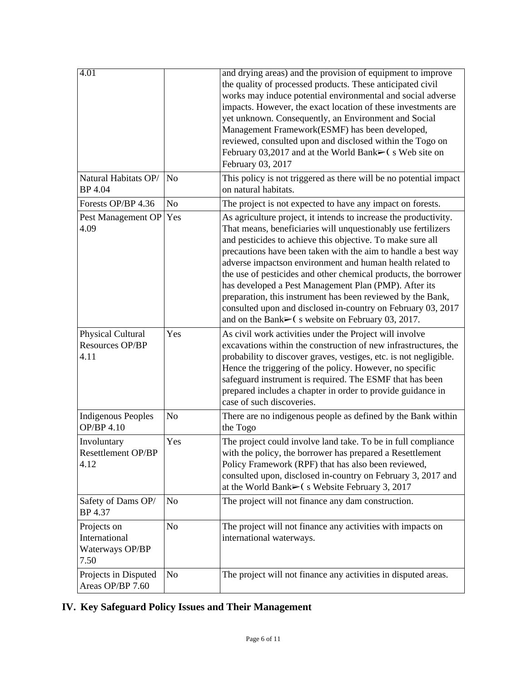| $\overline{4.01}$                                       |                | and drying areas) and the provision of equipment to improve<br>the quality of processed products. These anticipated civil<br>works may induce potential environmental and social adverse<br>impacts. However, the exact location of these investments are<br>yet unknown. Consequently, an Environment and Social<br>Management Framework(ESMF) has been developed,<br>reviewed, consulted upon and disclosed within the Togo on<br>February 03,2017 and at the World Bank $\blacktriangleright$ (s Web site on<br>February 03, 2017                                                                                                                          |
|---------------------------------------------------------|----------------|---------------------------------------------------------------------------------------------------------------------------------------------------------------------------------------------------------------------------------------------------------------------------------------------------------------------------------------------------------------------------------------------------------------------------------------------------------------------------------------------------------------------------------------------------------------------------------------------------------------------------------------------------------------|
| Natural Habitats OP/<br>BP 4.04                         | N <sub>o</sub> | This policy is not triggered as there will be no potential impact<br>on natural habitats.                                                                                                                                                                                                                                                                                                                                                                                                                                                                                                                                                                     |
| Forests OP/BP 4.36                                      | N <sub>o</sub> | The project is not expected to have any impact on forests.                                                                                                                                                                                                                                                                                                                                                                                                                                                                                                                                                                                                    |
| Pest Management OP<br>4.09                              | Yes            | As agriculture project, it intends to increase the productivity.<br>That means, beneficiaries will unquestionably use fertilizers<br>and pesticides to achieve this objective. To make sure all<br>precautions have been taken with the aim to handle a best way<br>adverse impactson environment and human health related to<br>the use of pesticides and other chemical products, the borrower<br>has developed a Pest Management Plan (PMP). After its<br>preparation, this instrument has been reviewed by the Bank,<br>consulted upon and disclosed in-country on February 03, 2017<br>and on the Bank $\triangleright$ (s website on February 03, 2017. |
| Physical Cultural<br>Resources OP/BP<br>4.11            | Yes            | As civil work activities under the Project will involve<br>excavations within the construction of new infrastructures, the<br>probability to discover graves, vestiges, etc. is not negligible.<br>Hence the triggering of the policy. However, no specific<br>safeguard instrument is required. The ESMF that has been<br>prepared includes a chapter in order to provide guidance in<br>case of such discoveries.                                                                                                                                                                                                                                           |
| <b>Indigenous Peoples</b><br><b>OP/BP 4.10</b>          | N <sub>o</sub> | There are no indigenous people as defined by the Bank within<br>the Togo                                                                                                                                                                                                                                                                                                                                                                                                                                                                                                                                                                                      |
| Involuntary<br>Resettlement OP/BP<br>4.12               | Yes            | The project could involve land take. To be in full compliance<br>with the policy, the borrower has prepared a Resettlement<br>Policy Framework (RPF) that has also been reviewed,<br>consulted upon, disclosed in-country on February 3, 2017 and<br>at the World Bank $\triangleright$ (s Website February 3, 2017                                                                                                                                                                                                                                                                                                                                           |
| Safety of Dams OP/<br>BP 4.37                           | No             | The project will not finance any dam construction.                                                                                                                                                                                                                                                                                                                                                                                                                                                                                                                                                                                                            |
| Projects on<br>International<br>Waterways OP/BP<br>7.50 | N <sub>o</sub> | The project will not finance any activities with impacts on<br>international waterways.                                                                                                                                                                                                                                                                                                                                                                                                                                                                                                                                                                       |
| Projects in Disputed                                    | N <sub>o</sub> | The project will not finance any activities in disputed areas.                                                                                                                                                                                                                                                                                                                                                                                                                                                                                                                                                                                                |

## **IV. Key Safeguard Policy Issues and Their Management**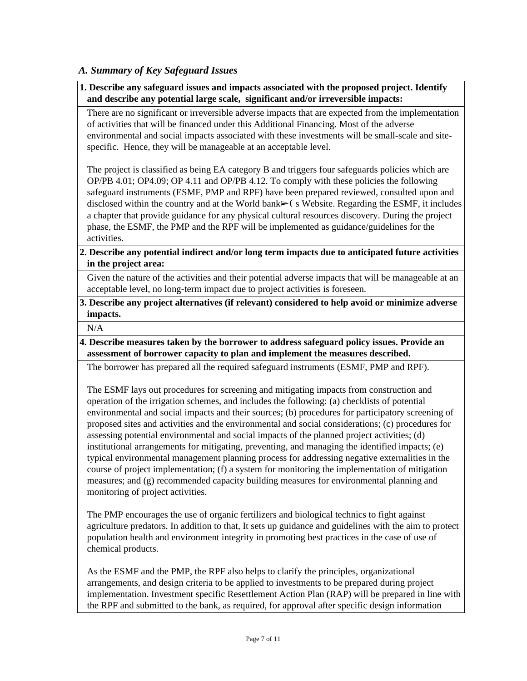#### *A. Summary of Key Safeguard Issues*

**1. Describe any safeguard issues and impacts associated with the proposed project. Identify and describe any potential large scale, significant and/or irreversible impacts:**

There are no significant or irreversible adverse impacts that are expected from the implementation of activities that will be financed under this Additional Financing. Most of the adverse environmental and social impacts associated with these investments will be small-scale and sitespecific. Hence, they will be manageable at an acceptable level.

The project is classified as being EA category B and triggers four safeguards policies which are OP/PB 4.01; OP4.09; OP 4.11 and OP/PB 4.12. To comply with these policies the following safeguard instruments (ESMF, PMP and RPF) have been prepared reviewed, consulted upon and disclosed within the country and at the World bank► (s Website. Regarding the ESMF, it includes a chapter that provide guidance for any physical cultural resources discovery. During the project phase, the ESMF, the PMP and the RPF will be implemented as guidance/guidelines for the activities.

#### **2. Describe any potential indirect and/or long term impacts due to anticipated future activities in the project area:**

Given the nature of the activities and their potential adverse impacts that will be manageable at an acceptable level, no long-term impact due to project activities is foreseen.

**3. Describe any project alternatives (if relevant) considered to help avoid or minimize adverse impacts.**

N/A

**4. Describe measures taken by the borrower to address safeguard policy issues. Provide an assessment of borrower capacity to plan and implement the measures described.**

The borrower has prepared all the required safeguard instruments (ESMF, PMP and RPF).

The ESMF lays out procedures for screening and mitigating impacts from construction and operation of the irrigation schemes, and includes the following: (a) checklists of potential environmental and social impacts and their sources; (b) procedures for participatory screening of proposed sites and activities and the environmental and social considerations; (c) procedures for assessing potential environmental and social impacts of the planned project activities; (d) institutional arrangements for mitigating, preventing, and managing the identified impacts; (e) typical environmental management planning process for addressing negative externalities in the course of project implementation; (f) a system for monitoring the implementation of mitigation measures; and (g) recommended capacity building measures for environmental planning and monitoring of project activities.

The PMP encourages the use of organic fertilizers and biological technics to fight against agriculture predators. In addition to that, It sets up guidance and guidelines with the aim to protect population health and environment integrity in promoting best practices in the case of use of chemical products.

As the ESMF and the PMP, the RPF also helps to clarify the principles, organizational arrangements, and design criteria to be applied to investments to be prepared during project implementation. Investment specific Resettlement Action Plan (RAP) will be prepared in line with the RPF and submitted to the bank, as required, for approval after specific design information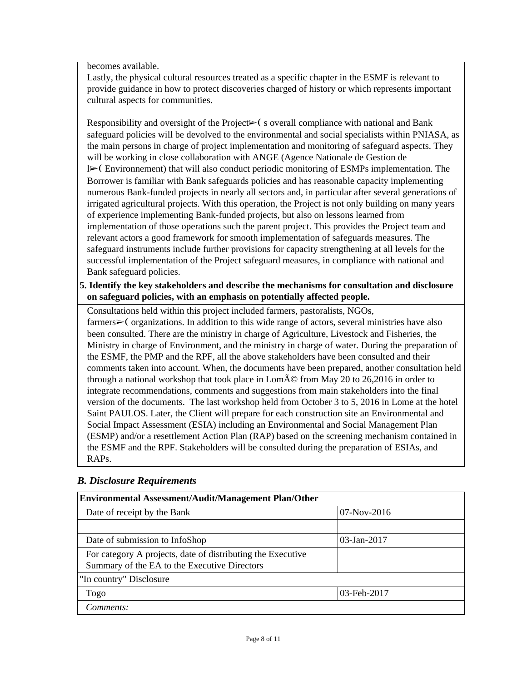becomes available.

Lastly, the physical cultural resources treated as a specific chapter in the ESMF is relevant to provide guidance in how to protect discoveries charged of history or which represents important cultural aspects for communities.

Responsibility and oversight of the Project $\triangleright$  (soverall compliance with national and Bank safeguard policies will be devolved to the environmental and social specialists within PNIASA, as the main persons in charge of project implementation and monitoring of safeguard aspects. They will be working in close collaboration with ANGE (Agence Nationale de Gestion de l➢❨ Environnement) that will also conduct periodic monitoring of ESMPs implementation. The Borrower is familiar with Bank safeguards policies and has reasonable capacity implementing numerous Bank-funded projects in nearly all sectors and, in particular after several generations of irrigated agricultural projects. With this operation, the Project is not only building on many years of experience implementing Bank-funded projects, but also on lessons learned from implementation of those operations such the parent project. This provides the Project team and relevant actors a good framework for smooth implementation of safeguards measures. The safeguard instruments include further provisions for capacity strengthening at all levels for the successful implementation of the Project safeguard measures, in compliance with national and Bank safeguard policies.

#### **5. Identify the key stakeholders and describe the mechanisms for consultation and disclosure on safeguard policies, with an emphasis on potentially affected people.**

Consultations held within this project included farmers, pastoralists, NGOs, farmers➢❨ organizations. In addition to this wide range of actors, several ministries have also been consulted. There are the ministry in charge of Agriculture, Livestock and Fisheries, the Ministry in charge of Environment, and the ministry in charge of water. During the preparation of the ESMF, the PMP and the RPF, all the above stakeholders have been consulted and their comments taken into account. When, the documents have been prepared, another consultation held through a national workshop that took place in Lom $\tilde{A}$ © from May 20 to 26,2016 in order to integrate recommendations, comments and suggestions from main stakeholders into the final version of the documents. The last workshop held from October 3 to 5, 2016 in Lome at the hotel Saint PAULOS. Later, the Client will prepare for each construction site an Environmental and Social Impact Assessment (ESIA) including an Environmental and Social Management Plan (ESMP) and/or a resettlement Action Plan (RAP) based on the screening mechanism contained in the ESMF and the RPF. Stakeholders will be consulted during the preparation of ESIAs, and RAPs.

| <b>Environmental Assessment/Audit/Management Plan/Other</b>                                                 |                |  |  |  |
|-------------------------------------------------------------------------------------------------------------|----------------|--|--|--|
| Date of receipt by the Bank                                                                                 | $07-Nov-2016$  |  |  |  |
|                                                                                                             |                |  |  |  |
| Date of submission to InfoShop                                                                              | $03$ -Jan-2017 |  |  |  |
| For category A projects, date of distributing the Executive<br>Summary of the EA to the Executive Directors |                |  |  |  |
| "In country" Disclosure                                                                                     |                |  |  |  |
| 03-Feb-2017<br>Togo                                                                                         |                |  |  |  |
| Comments:                                                                                                   |                |  |  |  |

## *B. Disclosure Requirements*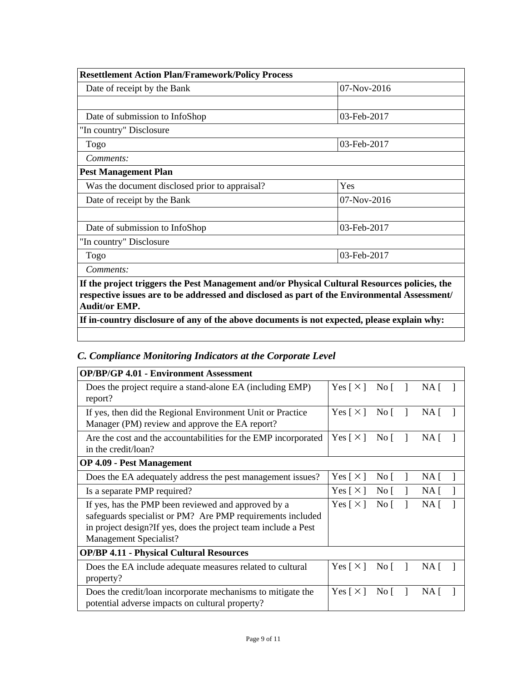| <b>Resettlement Action Plan/Framework/Policy Process</b>                                     |               |  |  |
|----------------------------------------------------------------------------------------------|---------------|--|--|
| Date of receipt by the Bank                                                                  | $07-Nov-2016$ |  |  |
|                                                                                              |               |  |  |
| Date of submission to InfoShop                                                               | 03-Feb-2017   |  |  |
| "In country" Disclosure                                                                      |               |  |  |
| Togo                                                                                         | 03-Feb-2017   |  |  |
| Comments:                                                                                    |               |  |  |
| <b>Pest Management Plan</b>                                                                  |               |  |  |
| Was the document disclosed prior to appraisal?                                               | Yes           |  |  |
| Date of receipt by the Bank                                                                  | $07-Nov-2016$ |  |  |
|                                                                                              |               |  |  |
| Date of submission to InfoShop                                                               | 03-Feb-2017   |  |  |
| "In country" Disclosure                                                                      |               |  |  |
| Togo                                                                                         | 03-Feb-2017   |  |  |
| Comments:                                                                                    |               |  |  |
| If the project triggers the Pest Management and/or Physical Cultural Resources policies, the |               |  |  |

**respective issues are to be addressed and disclosed as part of the Environmental Assessment/ Audit/or EMP.**

**If in-country disclosure of any of the above documents is not expected, please explain why:**

## *C. Compliance Monitoring Indicators at the Corporate Level*

| <b>OP/BP/GP 4.01 - Environment Assessment</b>                                                                                                                                                                  |                            |                  |             |  |
|----------------------------------------------------------------------------------------------------------------------------------------------------------------------------------------------------------------|----------------------------|------------------|-------------|--|
| Does the project require a stand-alone EA (including EMP)<br>report?                                                                                                                                           | Yes $\lceil \times \rceil$ | No [             | NA [        |  |
| If yes, then did the Regional Environment Unit or Practice<br>Manager (PM) review and approve the EA report?                                                                                                   |                            | No $\lceil$      | NA [        |  |
| Are the cost and the accountabilities for the EMP incorporated<br>in the credit/loan?                                                                                                                          |                            | $\overline{N}$ o | $NA$ [      |  |
| <b>OP 4.09 - Pest Management</b>                                                                                                                                                                               |                            |                  |             |  |
| Does the EA adequately address the pest management issues?                                                                                                                                                     | Yes [ $\times$ ]           | No $\lceil$      | NA [        |  |
| Is a separate PMP required?                                                                                                                                                                                    | Yes [ $\times$ ]           | $\overline{N}$ o | $NA \Gamma$ |  |
| If yes, has the PMP been reviewed and approved by a<br>safeguards specialist or PM? Are PMP requirements included<br>in project design? If yes, does the project team include a Pest<br>Management Specialist? |                            | No $\lceil$      | $NA$ [      |  |
| <b>OP/BP 4.11 - Physical Cultural Resources</b>                                                                                                                                                                |                            |                  |             |  |
| Does the EA include adequate measures related to cultural<br>property?                                                                                                                                         | Yes $\lceil \times \rceil$ | $\overline{N}$ o | NA [        |  |
| Does the credit/loan incorporate mechanisms to mitigate the<br>potential adverse impacts on cultural property?                                                                                                 | Yes $\lceil \times \rceil$ | No [             | NA [        |  |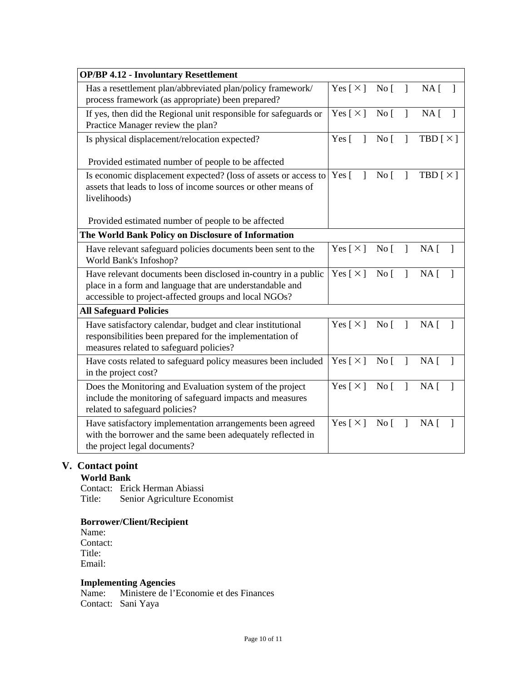| <b>OP/BP 4.12 - Involuntary Resettlement</b>                                                                                                                                       |                              |                   |              |                                 |
|------------------------------------------------------------------------------------------------------------------------------------------------------------------------------------|------------------------------|-------------------|--------------|---------------------------------|
| Has a resettlement plan/abbreviated plan/policy framework/<br>process framework (as appropriate) been prepared?                                                                    | Yes [ $\times$ ]             | No <sub>1</sub>   | 1            | $NA$ [                          |
| If yes, then did the Regional unit responsible for safeguards or<br>Practice Manager review the plan?                                                                              | Yes $[\times]$               | No <sub>[</sub> ] | $\mathbf{I}$ | NA <sub>[</sub> ]               |
| Is physical displacement/relocation expected?                                                                                                                                      | Yes $\lceil$<br>$\mathbf{1}$ | No <sub>1</sub>   | $\mathbf{I}$ | TBD $[\times]$                  |
| Provided estimated number of people to be affected                                                                                                                                 | Yes $\lceil$<br>$\mathbf{I}$ |                   |              |                                 |
| Is economic displacement expected? (loss of assets or access to<br>assets that leads to loss of income sources or other means of<br>livelihoods)                                   |                              | No <sub>1</sub>   | 1            | TBD $[\times]$                  |
| Provided estimated number of people to be affected                                                                                                                                 |                              |                   |              |                                 |
| The World Bank Policy on Disclosure of Information                                                                                                                                 |                              |                   |              |                                 |
| Have relevant safeguard policies documents been sent to the<br>World Bank's Infoshop?                                                                                              | Yes [ $\times$ ]             | No [              | $\mathbf{1}$ | $NA$ [<br>-1                    |
| Have relevant documents been disclosed in-country in a public<br>place in a form and language that are understandable and<br>accessible to project-affected groups and local NGOs? |                              | No <sub>1</sub>   | 1            | NA [                            |
| <b>All Safeguard Policies</b>                                                                                                                                                      |                              |                   |              |                                 |
| Have satisfactory calendar, budget and clear institutional<br>responsibilities been prepared for the implementation of<br>measures related to safeguard policies?                  | Yes [ $\times$ ]             | $\overline{N}$ o  | $\mathbf{1}$ | NA [<br>$\mathbf{1}$            |
| Have costs related to safeguard policy measures been included<br>in the project cost?                                                                                              | Yes [ $\times$ ]             | No <sub>[</sub> ] | $\mathbf{I}$ | NA <sub>1</sub><br>$\mathbf{1}$ |
| Does the Monitoring and Evaluation system of the project<br>include the monitoring of safeguard impacts and measures<br>related to safeguard policies?                             | Yes $[\times]$               | No [              | $\mathbf{I}$ | NA [<br>1                       |
| Have satisfactory implementation arrangements been agreed<br>with the borrower and the same been adequately reflected in<br>the project legal documents?                           | Yes [ $\times$ ]             | No <sub>[</sub> ] | $\mathbf{I}$ | NA <sub>1</sub>                 |

## **V. Contact point**

**World Bank**

Contact: Erick Herman Abiassi Senior Agriculture Economist

#### **Borrower/Client/Recipient**

Name: Contact: Title: Email:

# **Implementing Agencies**<br>Name: Ministere de l'I

Ministere de l'Economie et des Finances Contact: Sani Yaya